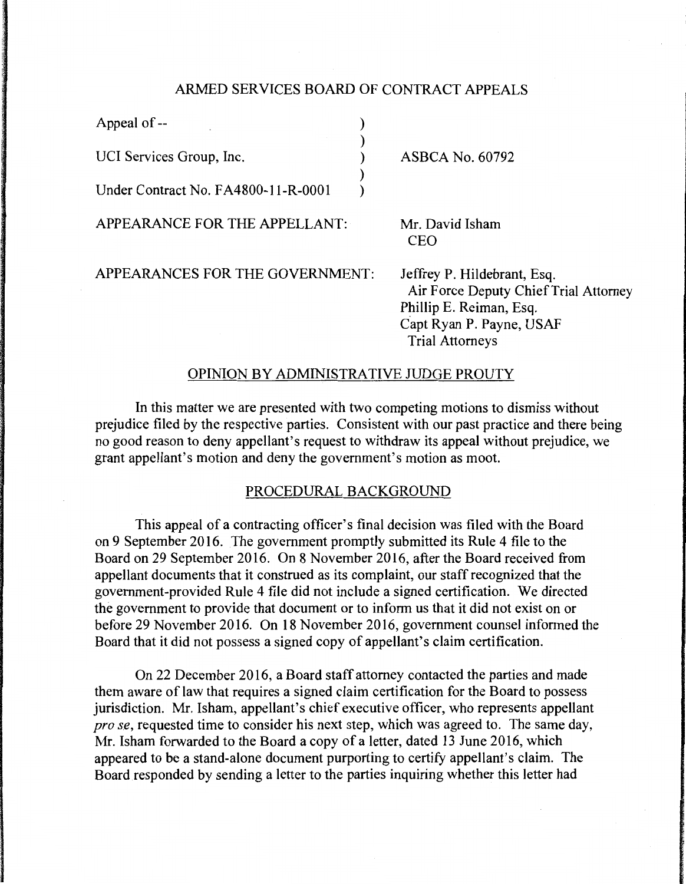## ARMED SERVICES BOARD OF CONTRACT APPEALS

) ) ) ) )

Appeal of --

UCI Services Group, Inc.

Under Contract No. F A4800-11-R-OOO 1

APPEARANCE FOR THE APPELLANT:

ASBCA No. 60792

Mr. David Isham CEO

APPEARANCES FOR THE GOVERNMENT:

Jeffrey P. Hildebrant, Esq. Air Force Deputy Chief Trial Attorney Phillip E. Reiman, Esq. Capt Ryan P. Payne, USAF Trial Attorneys

## OPINION BY ADMINISTRATIVE JUDGE PROUTY

In this matter we are presented with two competing motions to dismiss without prejudice filed by the respective parties. Consistent with our past practice and there being no good reason to deny appellant's request to withdraw its appeal without prejudice, we grant appellant's motion and deny the government's motion as moot.

## PROCEDURAL BACKGROUND

This appeal of a contracting officer's final decision was filed with the Board on 9 September 2016. The government promptly submitted its Rule 4 file to the Board on 29 September 2016. On 8 November 2016, after the Board received from appellant documents that it construed as its complaint, our staff recognized that the government-provided Rule 4 file did not include a signed certification. We directed the government to provide that document or to inform us that it did not exist on or before 29 November 2016. On 18 November 2016, government counsel informed the Board that it did not possess a signed copy of appellant's claim certification.

On 22 December 2016, a Board staff attorney contacted the parties and made them aware of law that requires a signed claim certification for the Board to possess jurisdiction. Mr. Isham, appellant's chief executive officer, who represents appellant *prose,* requested time to consider his next step, which was agreed to. The same day, Mr. Isham forwarded to the Board a copy of a letter, dated 13 June 2016, which appeared to be a stand-alone document purporting to certify appellant's claim. The Board responded by sending a letter to the parties inquiring whether this letter had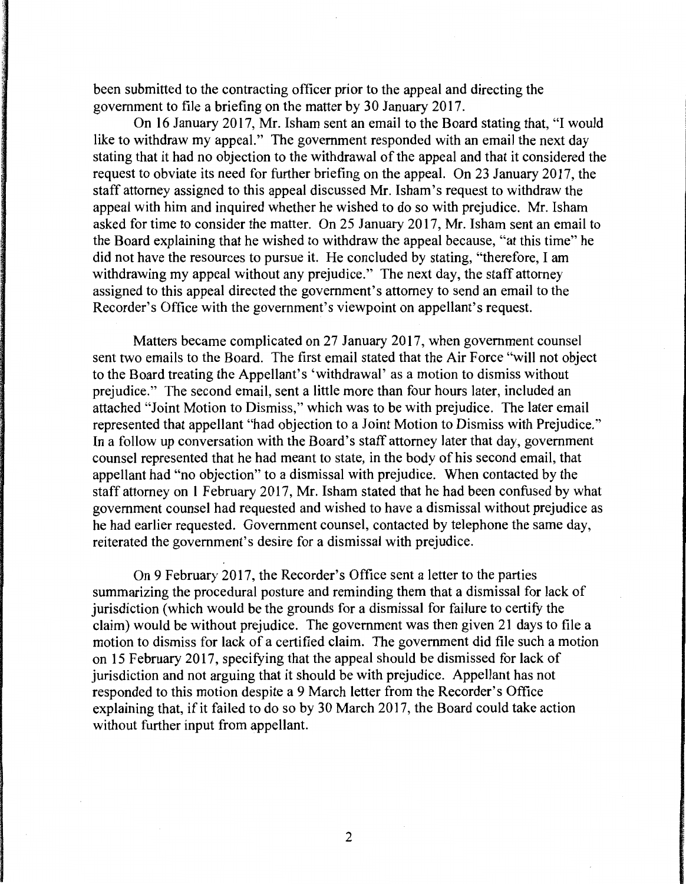been submitted to the contracting officer prior to the appeal and directing the government to file a briefing on the matter by 30 January 2017.

On 16 January 2017, Mr. Isham sent an email to the Board stating that, "I would like to withdraw my appeal." The government responded with an email the next day stating that it had no objection to the withdrawal of the appeal and that it considered the request to obviate its need for further briefing on the appeal. On 23 January 2017, the staff attorney assigned to this appeal discussed Mr. !sham's request to withdraw the appeal with him and inquired whether he wished to do so with prejudice. Mr. Isham asked for time to consider the matter. On 25 January 2017, Mr. Isham sent an email to the Board explaining that he wished to withdraw the appeal because, "at this time" he did not have the resources to pursue it. He concluded by stating, "therefore, I am withdrawing my appeal without any prejudice." The next day, the staff attorney assigned to this appeal directed the government's attorney to send an email to the Recorder's Office with the government's viewpoint on appellant's request.

Matters became complicated on 27 January 2017, when government counsel sent two emails to the Board. The first email stated that the Air Force "will not object to the Board treating the Appellant's 'withdrawal' as a motion to dismiss without prejudice." The second email, sent a little more than four hours later, included an attached "Joint Motion to Dismiss," which was to be with prejudice. The later email represented that appellant "had objection to a Joint Motion to Dismiss with Prejudice." In a follow up conversation with the Board's staff attorney later that day, government counsel represented that he had meant to state, in the body of his second email, that appellant had "no objection" to a dismissal with prejudice. When contacted by the staff attorney on 1 February 2017, Mr. Isham stated that he had been confused by what government counsel had requested and wished to have a dismissal without prejudice as he had earlier requested. Government counsel, contacted by telephone the same day, reiterated the government's desire for a dismissal with prejudice.

On 9 February 2017, the Recorder's Office sent a letter to the parties summarizing the procedural posture and reminding them that a dismissal for lack of jurisdiction (which would be the grounds for a dismissal for failure to certify the claim) would be without prejudice. The government was then given 21 days to file a motion to dismiss for lack of a certified claim. The government did file such a motion on 15 February 2017, specifying that the appeal should be dismissed for lack of jurisdiction and not arguing that it should be with prejudice. Appellant has not responded to this motion despite a 9 March letter from the Recorder's Office explaining that, if it failed to do so by 30 March 2017, the Board could take action without further input from appellant.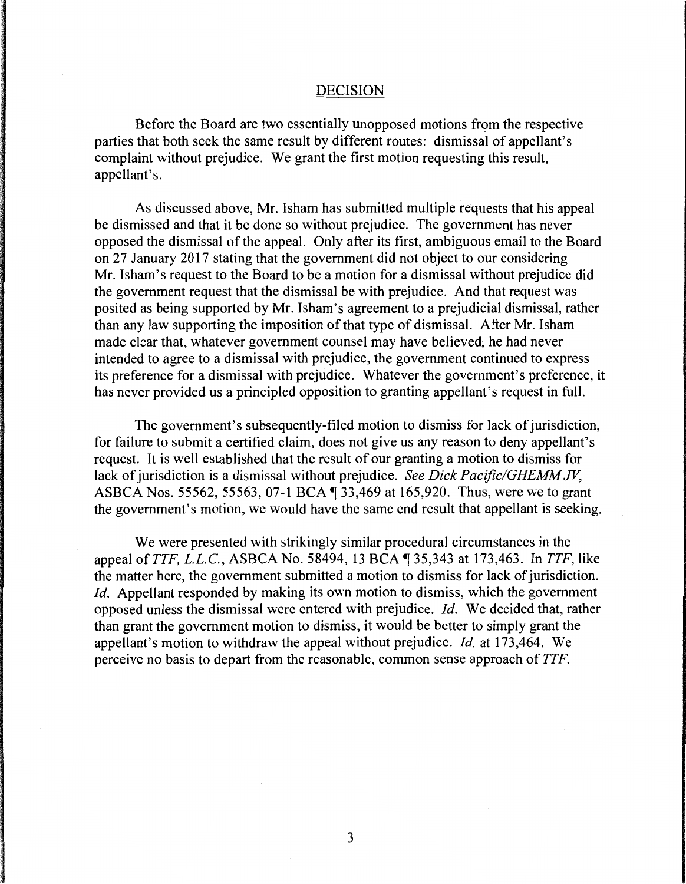## DECISION

Before the Board are two essentially unopposed motions from the respective parties that both seek the same result by different routes: dismissal of appellant's complaint without prejudice. We grant the first motion requesting this result, appellant's.

As discussed above, Mr. Isham has submitted multiple requests that his appeal be dismissed and that it be done so without prejudice. The government has never opposed the dismissal of the appeal. Only after its first, ambiguous email to the Board on 27 January 2017 stating that the government did not object to our considering Mr. !sham's request to the Board to be a motion for a dismissal without prejudice did the government request that the dismissal be with prejudice. And that request was posited as being supported by Mr. !sham's agreement to a prejudicial dismissal, rather than any law supporting the imposition of that type of dismissal. After Mr. Isham made clear that, whatever government counsel may have believed; he had never intended to agree to a dismissal with prejudice, the government continued to express its preference for a dismissal with prejudice. Whatever the government's preference, it has never provided us a principled opposition to granting appellant's request in full.

The government's subsequently-filed motion to dismiss for lack of jurisdiction, for failure to submit a certified claim, does not give us any reason to deny appellant's request. It is well established that the result of our granting a motion to dismiss for lack of jurisdiction is a dismissal without prejudice. *See Dick Pacific/GHEMM JV,*  ASBCA Nos. 55562, 55563, 07-1 BCA 1 33,469 at 165,920. Thus, were we to grant the government's motion, we would have the same end result that appellant is seeking.

We were presented with strikingly similar procedural circumstances in the appeal of *TTF, L.L.C.*, ASBCA No. 58494, 13 BCA 1 35,343 at 173,463. In *TTF*, like the matter here, the government submitted a motion to dismiss for lack of jurisdiction. *Id.* Appellant responded by making its own motion to dismiss, which the government opposed unless the dismissal were entered with prejudice. *Id.* We decided that, rather than grant the government motion to dismiss, it would be better to simply grant the appellant's motion to withdraw the appeal without prejudice. *Id.* at 173,464. We perceive no basis to depart from the reasonable, common sense approach of *TTF.*